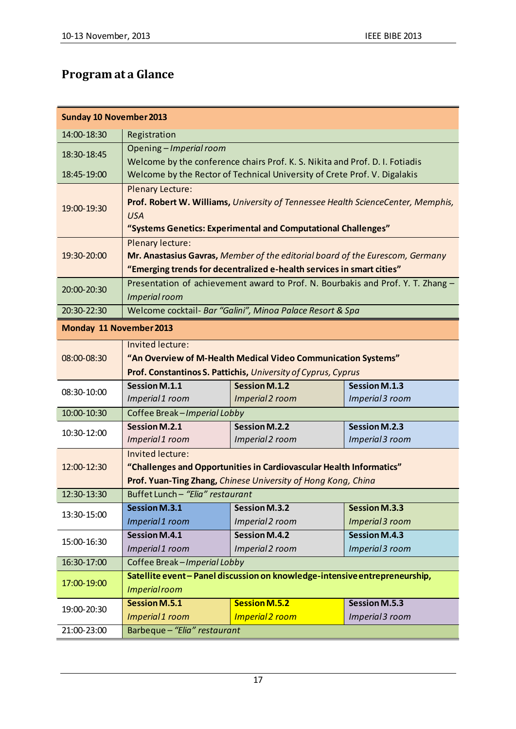## **Program at a Glance**

| <b>Sunday 10 November 2013</b> |                                                                                         |                        |                      |  |  |
|--------------------------------|-----------------------------------------------------------------------------------------|------------------------|----------------------|--|--|
| 14:00-18:30                    | Registration                                                                            |                        |                      |  |  |
| 18:30-18:45                    | Opening - Imperial room                                                                 |                        |                      |  |  |
|                                | Welcome by the conference chairs Prof. K. S. Nikita and Prof. D. I. Fotiadis            |                        |                      |  |  |
| 18:45-19:00                    | Welcome by the Rector of Technical University of Crete Prof. V. Digalakis               |                        |                      |  |  |
| 19:00-19:30                    | <b>Plenary Lecture:</b>                                                                 |                        |                      |  |  |
|                                | Prof. Robert W. Williams, University of Tennessee Health ScienceCenter, Memphis,        |                        |                      |  |  |
|                                | <b>USA</b>                                                                              |                        |                      |  |  |
| 19:30-20:00                    | "Systems Genetics: Experimental and Computational Challenges"<br>Plenary lecture:       |                        |                      |  |  |
|                                | Mr. Anastasius Gavras, Member of the editorial board of the Eurescom, Germany           |                        |                      |  |  |
|                                | "Emerging trends for decentralized e-health services in smart cities"                   |                        |                      |  |  |
| 20:00-20:30                    | Presentation of achievement award to Prof. N. Bourbakis and Prof. Y. T. Zhang -         |                        |                      |  |  |
|                                | Imperial room                                                                           |                        |                      |  |  |
| 20:30-22:30                    | Welcome cocktail- Bar "Galini", Minoa Palace Resort & Spa                               |                        |                      |  |  |
| Monday 11 November 2013        |                                                                                         |                        |                      |  |  |
|                                | Invited lecture:                                                                        |                        |                      |  |  |
| 08:00-08:30                    | "An Overview of M-Health Medical Video Communication Systems"                           |                        |                      |  |  |
|                                | Prof. Constantinos S. Pattichis, University of Cyprus, Cyprus                           |                        |                      |  |  |
| 08:30-10:00                    | Session M.1.1                                                                           | <b>Session M.1.2</b>   | <b>Session M.1.3</b> |  |  |
|                                | Imperial 1 room                                                                         | Imperial 2 room        | Imperial 3 room      |  |  |
| 10:00-10:30                    | Coffee Break-Imperial Lobby                                                             |                        |                      |  |  |
| 10:30-12:00                    | <b>Session M.2.1</b>                                                                    | Session M.2.2          | <b>Session M.2.3</b> |  |  |
|                                | Imperial 1 room                                                                         | Imperial 2 room        | Imperial 3 room      |  |  |
| 12:00-12:30                    | Invited lecture:<br>"Challenges and Opportunities in Cardiovascular Health Informatics" |                        |                      |  |  |
|                                | Prof. Yuan-Ting Zhang, Chinese University of Hong Kong, China                           |                        |                      |  |  |
| 12:30-13:30                    | Buffet Lunch - "Elia" restaurant                                                        |                        |                      |  |  |
| 13:30-15:00                    | Session M.3.1                                                                           | <b>Session M.3.2</b>   | <b>Session M.3.3</b> |  |  |
|                                | Imperial 1 room                                                                         | Imperial 2 room        | Imperial 3 room      |  |  |
| 15:00-16:30                    | <b>Session M.4.1</b>                                                                    | <b>Session M.4.2</b>   | <b>Session M.4.3</b> |  |  |
|                                | Imperial 1 room                                                                         | Imperial 2 room        | Imperial 3 room      |  |  |
| 16:30-17:00                    | Coffee Break-Imperial Lobby                                                             |                        |                      |  |  |
| 17:00-19:00                    | Satellite event-Panel discussion on knowledge-intensive entrepreneurship,               |                        |                      |  |  |
|                                | <b>Imperial room</b>                                                                    |                        |                      |  |  |
| 19:00-20:30                    | <b>Session M.5.1</b>                                                                    | <b>Session M.5.2</b>   | Session M.5.3        |  |  |
|                                | Imperial 1 room                                                                         | <b>Imperial 2 room</b> | Imperial 3 room      |  |  |
| 21:00-23:00                    | Barbeque - "Elia" restaurant                                                            |                        |                      |  |  |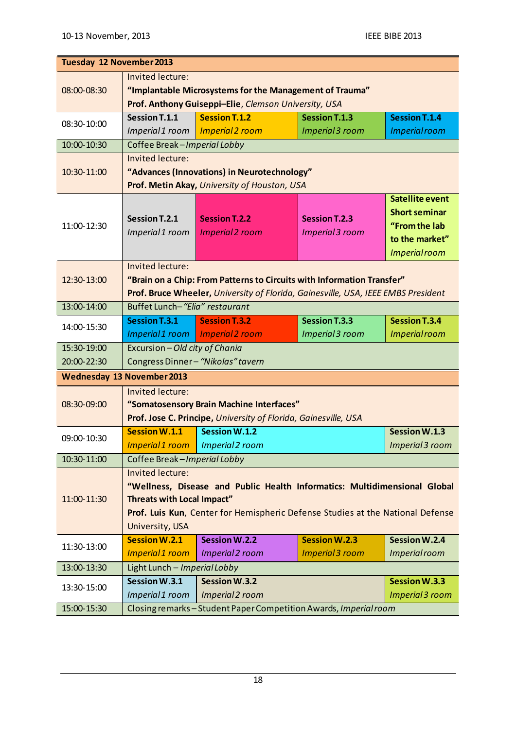| Tuesday 12 November 2013          |                                                                                                                                                                                                                                         |                                                                 |                                                |                                                                                                           |  |
|-----------------------------------|-----------------------------------------------------------------------------------------------------------------------------------------------------------------------------------------------------------------------------------------|-----------------------------------------------------------------|------------------------------------------------|-----------------------------------------------------------------------------------------------------------|--|
| 08:00-08:30                       | Invited lecture:<br>"Implantable Microsystems for the Management of Trauma"<br>Prof. Anthony Guiseppi-Elie, Clemson University, USA                                                                                                     |                                                                 |                                                |                                                                                                           |  |
| 08:30-10:00                       | Session T.1.1                                                                                                                                                                                                                           | <b>Session T.1.2</b>                                            | <b>Session T.1.3</b>                           | <b>Session T.1.4</b>                                                                                      |  |
|                                   | Imperial 1 room                                                                                                                                                                                                                         | <b>Imperial 2 room</b>                                          | <b>Imperial 3 room</b>                         | <b>Imperial room</b>                                                                                      |  |
| 10:00-10:30                       | Coffee Break-Imperial Lobby                                                                                                                                                                                                             |                                                                 |                                                |                                                                                                           |  |
| 10:30-11:00                       | Invited lecture:<br>"Advances (Innovations) in Neurotechnology"<br>Prof. Metin Akay, University of Houston, USA                                                                                                                         |                                                                 |                                                |                                                                                                           |  |
| 11:00-12:30                       | Session T.2.1<br>Imperial 1 room                                                                                                                                                                                                        | <b>Session T.2.2</b><br><b>Imperial 2 room</b>                  | <b>Session T.2.3</b><br><b>Imperial 3 room</b> | <b>Satellite event</b><br><b>Short seminar</b><br>"From the lab<br>to the market"<br><b>Imperial room</b> |  |
| 12:30-13:00                       | Invited lecture:<br>"Brain on a Chip: From Patterns to Circuits with Information Transfer"<br>Prof. Bruce Wheeler, University of Florida, Gainesville, USA, IEEE EMBS President                                                         |                                                                 |                                                |                                                                                                           |  |
| 13:00-14:00                       | Buffet Lunch-"Elia" restaurant                                                                                                                                                                                                          |                                                                 |                                                |                                                                                                           |  |
| 14:00-15:30                       | Session T.3.1<br>Imperial 1 room                                                                                                                                                                                                        | <b>Session T.3.2</b><br><b>Imperial 2 room</b>                  | Session T.3.3<br>Imperial 3 room               | <b>Session T.3.4</b><br><b>Imperial room</b>                                                              |  |
| 15:30-19:00                       | Excursion - Old city of Chania                                                                                                                                                                                                          |                                                                 |                                                |                                                                                                           |  |
| 20:00-22:30                       | Congress Dinner-"Nikolas" tavern                                                                                                                                                                                                        |                                                                 |                                                |                                                                                                           |  |
| <b>Wednesday 13 November 2013</b> |                                                                                                                                                                                                                                         |                                                                 |                                                |                                                                                                           |  |
| 08:30-09:00                       | Invited lecture:<br>"Somatosensory Brain Machine Interfaces"<br>Prof. Jose C. Principe, University of Florida, Gainesville, USA                                                                                                         |                                                                 |                                                |                                                                                                           |  |
| 09:00-10:30                       | <b>Session W.1.1</b>                                                                                                                                                                                                                    | <b>Session W.1.2</b>                                            |                                                | <b>Session W.1.3</b>                                                                                      |  |
|                                   | Imperial 1 room                                                                                                                                                                                                                         | Imperial 2 room                                                 |                                                | Imperial 3 room                                                                                           |  |
| 10:30-11:00                       | Coffee Break-Imperial Lobby                                                                                                                                                                                                             |                                                                 |                                                |                                                                                                           |  |
| 11:00-11:30                       | Invited lecture:<br>"Wellness, Disease and Public Health Informatics: Multidimensional Global<br><b>Threats with Local Impact"</b><br>Prof. Luis Kun, Center for Hemispheric Defense Studies at the National Defense<br>University, USA |                                                                 |                                                |                                                                                                           |  |
| 11:30-13:00                       | <b>Session W.2.1</b>                                                                                                                                                                                                                    | <b>Session W.2.2</b>                                            | <b>Session W.2.3</b>                           | <b>Session W.2.4</b>                                                                                      |  |
|                                   | Imperial 1 room                                                                                                                                                                                                                         | Imperial 2 room                                                 | <b>Imperial 3 room</b>                         | <b>Imperial room</b>                                                                                      |  |
| 13:00-13:30                       | Light Lunch - Imperial Lobby                                                                                                                                                                                                            |                                                                 |                                                |                                                                                                           |  |
| 13:30-15:00                       | Session W.3.1                                                                                                                                                                                                                           | <b>Session W.3.2</b>                                            |                                                | <b>Session W.3.3</b>                                                                                      |  |
|                                   | Imperial 1 room                                                                                                                                                                                                                         | Imperial 2 room                                                 |                                                | Imperial 3 room                                                                                           |  |
| 15:00-15:30                       |                                                                                                                                                                                                                                         | Closing remarks-Student Paper Competition Awards, Imperial room |                                                |                                                                                                           |  |